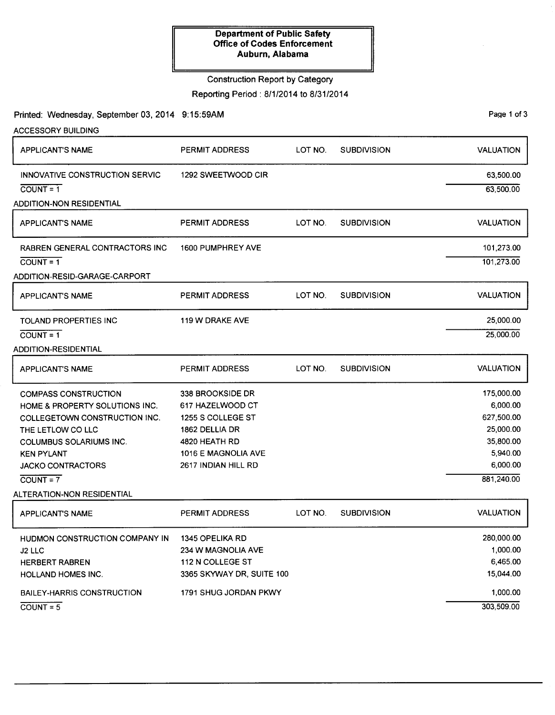#### Construction Report by Category

Reporting Period: 8/1/2014 to 8/31/2014

Printed: Wednesday, September 03, 2014 9:15:59AM Page 1 of 3

| <b>ACCESSORY BUILDING</b>             |                           |         |                    |                  |
|---------------------------------------|---------------------------|---------|--------------------|------------------|
| <b>APPLICANT'S NAME</b>               | PERMIT ADDRESS            | LOT NO. | <b>SUBDIVISION</b> | <b>VALUATION</b> |
| INNOVATIVE CONSTRUCTION SERVIC        | 1292 SWEETWOOD CIR        |         |                    | 63,500.00        |
| $COUNT = 1$                           |                           |         |                    | 63,500.00        |
| <b>ADDITION-NON RESIDENTIAL</b>       |                           |         |                    |                  |
| <b>APPLICANT'S NAME</b>               | <b>PERMIT ADDRESS</b>     | LOT NO. | <b>SUBDIVISION</b> | <b>VALUATION</b> |
| <b>RABREN GENERAL CONTRACTORS INC</b> | 1600 PUMPHREY AVE         |         |                    | 101,273.00       |
| $COUNT = 1$                           |                           |         |                    | 101,273.00       |
| ADDITION-RESID-GARAGE-CARPORT         |                           |         |                    |                  |
| <b>APPLICANT'S NAME</b>               | <b>PERMIT ADDRESS</b>     | LOT NO. | <b>SUBDIVISION</b> | <b>VALUATION</b> |
| <b>TOLAND PROPERTIES INC</b>          | <b>119 W DRAKE AVE</b>    |         |                    | 25,000.00        |
| $COUNT = 1$                           |                           |         |                    | 25,000.00        |
| <b>ADDITION-RESIDENTIAL</b>           |                           |         |                    |                  |
| APPLICANT'S NAME                      | <b>PERMIT ADDRESS</b>     | LOT NO. | <b>SUBDIVISION</b> | <b>VALUATION</b> |
| <b>COMPASS CONSTRUCTION</b>           | 338 BROOKSIDE DR          |         |                    | 175,000.00       |
| HOME & PROPERTY SOLUTIONS INC.        | 617 HAZELWOOD CT          |         |                    | 6,000.00         |
| COLLEGETOWN CONSTRUCTION INC.         | 1255 S COLLEGE ST         |         |                    | 627,500.00       |
| THE LETLOW CO LLC                     | 1862 DELLIA DR            |         |                    | 25,000.00        |
| <b>COLUMBUS SOLARIUMS INC.</b>        | 4820 HEATH RD             |         |                    | 35,800.00        |
| <b>KEN PYLANT</b>                     | 1016 E MAGNOLIA AVE       |         |                    | 5,940.00         |
| <b>JACKO CONTRACTORS</b>              | 2617 INDIAN HILL RD       |         |                    | 6,000.00         |
| $COUNT = 7$                           |                           |         |                    | 881,240.00       |
| ALTERATION-NON RESIDENTIAL            |                           |         |                    |                  |
| <b>APPLICANT'S NAME</b>               | PERMIT ADDRESS            | LOT NO. | <b>SUBDIVISION</b> | <b>VALUATION</b> |
| HUDMON CONSTRUCTION COMPANY IN        | <b>1345 OPELIKA RD</b>    |         |                    | 280,000.00       |
| J2 LLC                                | 234 W MAGNOLIA AVE        |         |                    | 1,000.00         |
| <b>HERBERT RABREN</b>                 | 112 N COLLEGE ST          |         |                    | 6,465.00         |
| HOLLAND HOMES INC.                    | 3365 SKYWAY DR, SUITE 100 |         |                    | 15,044.00        |
| <b>BAILEY-HARRIS CONSTRUCTION</b>     | 1791 SHUG JORDAN PKWY     |         |                    | 1,000.00         |
| $\overline{COUNT} = 5$                |                           |         |                    | 303,509.00       |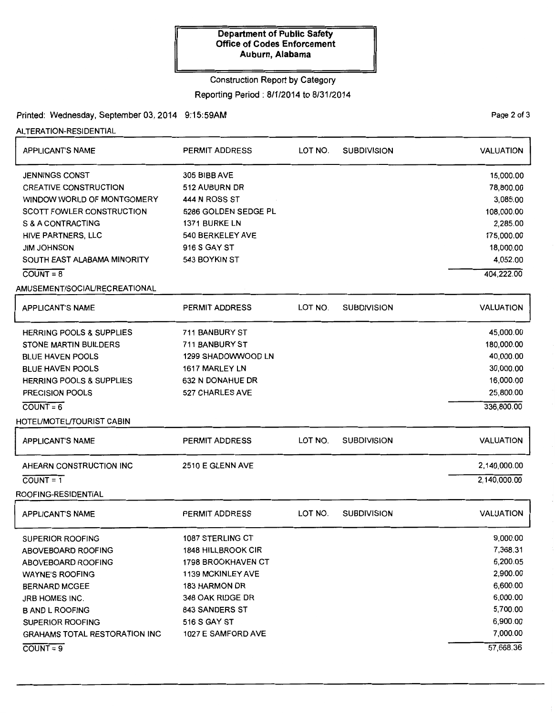#### Construction Report by Category

#### Reporting Period: 8/1/2014 to 8/31/2014

### Printed: Wednesday, September 03, 2014 9:15:59AM

ALTERATION-RESIDENTIAL

| <b>APPLICANT'S NAME</b>                                                             | <b>PERMIT ADDRESS</b>                                 | LOT NO. | <b>SUBDIVISION</b> | <b>VALUATION</b>                   |
|-------------------------------------------------------------------------------------|-------------------------------------------------------|---------|--------------------|------------------------------------|
| <b>JENNINGS CONST</b><br><b>CREATIVE CONSTRUCTION</b><br>WINDOW WORLD OF MONTGOMERY | 305 BIBB AVE<br>512 AUBURN DR<br><b>444 N ROSS ST</b> |         |                    | 15,000.00<br>78,800.00<br>3,085.00 |
| <b>SCOTT FOWLER CONSTRUCTION</b>                                                    | 5286 GOLDEN SEDGE PL                                  |         |                    | 108,000.00                         |
| S & A CONTRACTING                                                                   | 1371 BURKE LN<br>540 BERKELEY AVE                     |         |                    | 2,285.00<br>175,000.00             |
| HIVE PARTNERS, LLC<br><b>JIM JOHNSON</b>                                            | 916 S GAY ST                                          |         |                    | 18,000.00                          |
| SOUTH EAST ALABAMA MINORITY                                                         | 543 BOYKIN ST                                         |         |                    | 4,052.00                           |
| $\overline{COUNT} = 8$                                                              |                                                       |         |                    | 404,222.00                         |
| AMUSEMENT/SOCIAL/RECREATIONAL                                                       |                                                       |         |                    |                                    |
|                                                                                     |                                                       |         |                    |                                    |
| <b>APPLICANT'S NAME</b>                                                             | <b>PERMIT ADDRESS</b>                                 | LOT NO. | <b>SUBDIVISION</b> | <b>VALUATION</b>                   |
| <b>HERRING POOLS &amp; SUPPLIES</b>                                                 | 711 BANBURY ST                                        |         |                    | 45,000.00                          |
| <b>STONE MARTIN BUILDERS</b>                                                        | 711 BANBURY ST                                        |         |                    | 180,000.00                         |
| <b>BLUE HAVEN POOLS</b>                                                             | 1299 SHADOWWOOD LN                                    |         |                    | 40,000.00                          |
| <b>BLUE HAVEN POOLS</b>                                                             | 1617 MARLEY LN                                        |         |                    | 30,000.00                          |
| <b>HERRING POOLS &amp; SUPPLIES</b>                                                 | 632 N DONAHUE DR                                      |         |                    | 16,000.00                          |
| <b>PRECISION POOLS</b>                                                              | 527 CHARLES AVE                                       |         |                    | 25,800.00                          |
| $\overline{COUNT} = 6$                                                              |                                                       |         |                    | 336,800.00                         |
| HOTEL/MOTEL/TOURIST CABIN                                                           |                                                       |         |                    |                                    |
| <b>APPLICANT'S NAME</b>                                                             | <b>PERMIT ADDRESS</b>                                 | LOT NO. | <b>SUBDIVISION</b> | <b>VALUATION</b>                   |
| AHEARN CONSTRUCTION INC                                                             | 2510 E GLENN AVE                                      |         |                    | 2,140,000.00                       |
| $\overline{COUNT} = 1$                                                              |                                                       |         |                    | 2,140,000.00                       |
| ROOFING-RESIDENTIAL                                                                 |                                                       |         |                    |                                    |
| <b>APPLICANT'S NAME</b>                                                             | <b>PERMIT ADDRESS</b>                                 | LOT NO. | <b>SUBDIVISION</b> | <b>VALUATION</b>                   |
| <b>SUPERIOR ROOFING</b>                                                             | 1087 STERLING CT                                      |         |                    | 9,000.00                           |
| ABOVEBOARD ROOFING                                                                  | <b>1848 HILLBROOK CIR</b>                             |         |                    | 7,368.31                           |
| ABOVEBOARD ROOFING                                                                  | 1798 BROOKHAVEN CT                                    |         |                    | 6,200.05                           |
| <b>WAYNE'S ROOFING</b>                                                              | <b>1139 MCKINLEY AVE</b>                              |         |                    | 2,900.00                           |
| <b>BERNARD MCGEE</b>                                                                | <b>183 HARMON DR</b>                                  |         |                    | 6,600.00                           |
| JRB HOMES INC.                                                                      | 348 OAK RIDGE DR                                      |         |                    | 6,000.00                           |
| <b>B AND L ROOFING</b>                                                              | 843 SANDERS ST                                        |         |                    | 5,700.00                           |
| <b>SUPERIOR ROOFING</b>                                                             | 516 S GAY ST                                          |         |                    | 6,900.00                           |
| <b>GRAHAMS TOTAL RESTORATION INC</b>                                                | 1027 E SAMFORD AVE                                    |         |                    | 7,000.00                           |
| $COUNT = 9$                                                                         |                                                       |         |                    | 57,668.36                          |

PaQe 2 of 3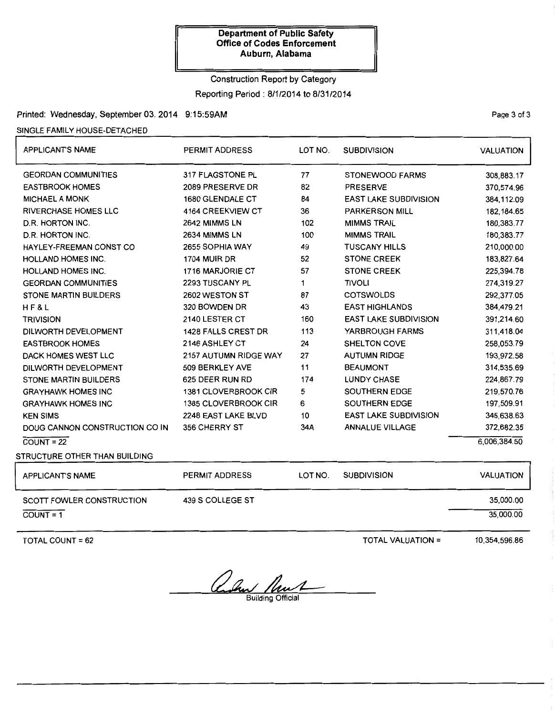# Construction Report by Category

# Reporting Period: 8/1/2014 to 8/31/2014

# Printed: Wednesday, September 03, 2014 9:15:59AM

#### SINGLE FAMILY HOUSE-DETACHED

| <b>APPLICANT'S NAME</b>        | PERMIT ADDRESS             | LOT NO.                   | <b>SUBDIVISION</b>           | <b>VALUATION</b> |
|--------------------------------|----------------------------|---------------------------|------------------------------|------------------|
| <b>GEORDAN COMMUNITIES</b>     | 317 FLAGSTONE PL           | 77                        | <b>STONEWOOD FARMS</b>       | 308,883.17       |
| <b>EASTBROOK HOMES</b>         | 2089 PRESERVE DR           | 82<br><b>PRESERVE</b>     |                              | 370,574.96       |
| <b>MICHAEL A MONK</b>          | 1680 GLENDALE CT           | 84                        | <b>EAST LAKE SUBDIVISION</b> | 384,112.09       |
| <b>RIVERCHASE HOMES LLC</b>    | 4164 CREEKVIEW CT          | 36                        | <b>PARKERSON MILL</b>        | 182, 184.65      |
| D.R. HORTON INC.               | 2642 MIMMS LN              | 102                       | <b>MIMMS TRAIL</b>           | 180,383.77       |
| D.R. HORTON INC.               | 2634 MIMMS LN              | 100                       | <b>MIMMS TRAIL</b>           | 180,383.77       |
| HAYLEY-FREEMAN CONST CO        | 2655 SOPHIA WAY            | 49                        | <b>TUSCANY HILLS</b>         | 210,000.00       |
| <b>HOLLAND HOMES INC.</b>      | 1704 MUIR DR               | 52                        | <b>STONE CREEK</b>           | 183,827.64       |
| <b>HOLLAND HOMES INC.</b>      | 1716 MARJORIE CT           | 57                        | <b>STONE CREEK</b>           | 225,394.78       |
| <b>GEORDAN COMMUNITIES</b>     | 2293 TUSCANY PL            | 1                         | <b>TIVOLI</b>                | 274,319.27       |
| STONE MARTIN BUILDERS          | 2602 WESTON ST             | 87                        | <b>COTSWOLDS</b>             | 292,377.05       |
| H F & L                        | 320 BOWDEN DR              | 43                        | <b>EAST HIGHLANDS</b>        | 384,479.21       |
| <b>TRIVISION</b>               | 2140 LESTER CT             | 160                       | <b>EAST LAKE SUBDIVISION</b> | 391,214.60       |
| DILWORTH DEVELOPMENT           | <b>1428 FALLS CREST DR</b> | 113                       | YARBROUGH FARMS              | 311,418.04       |
| <b>EASTBROOK HOMES</b>         | 2146 ASHLEY CT             | <b>SHELTON COVE</b><br>24 |                              | 258,053.79       |
| DACK HOMES WEST LLC            | 2157 AUTUMN RIDGE WAY      | <b>AUTUMN RIDGE</b><br>27 |                              | 193,972.58       |
| DILWORTH DEVELOPMENT           | 509 BERKLEY AVE            | 11                        | <b>BEAUMONT</b>              | 314,535.69       |
| <b>STONE MARTIN BUILDERS</b>   | 625 DEER RUN RD            | 174                       | <b>LUNDY CHASE</b>           | 224,867.79       |
| <b>GRAYHAWK HOMES INC</b>      | 1381 CLOVERBROOK CIR       | 5                         | SOUTHERN EDGE                | 219,570.76       |
| <b>GRAYHAWK HOMES INC</b>      | 1385 CLOVERBROOK CIR       | 6                         | <b>SOUTHERN EDGE</b>         | 197,509.91       |
| <b>KEN SIMS</b>                | 2248 EAST LAKE BLVD        | 10                        | <b>EAST LAKE SUBDIVISION</b> | 345,638.63       |
| DOUG CANNON CONSTRUCTION CO IN | 356 CHERRY ST              | 34A                       | <b>ANNALUE VILLAGE</b>       | 372,682.35       |
| $COUNT = 22$                   |                            |                           |                              | 6,006,384.50     |
| STRUCTURE OTHER THAN BUILDING  |                            |                           |                              |                  |
| <b>APPLICANT'S NAME</b>        | <b>PERMIT ADDRESS</b>      | LOT NO.                   | <b>SUBDIVISION</b>           | <b>VALUATION</b> |
| SCOTT FOWLER CONSTRUCTION      | 439 S COLLEGE ST           |                           |                              | 35,000.00        |
| $COUNT = 1$                    |                            |                           |                              | 35,000.00        |

TOTAL COUNT= 62

TOTAL VALUATION=

10,354,596.86

and Must

PaQe 3 of 3